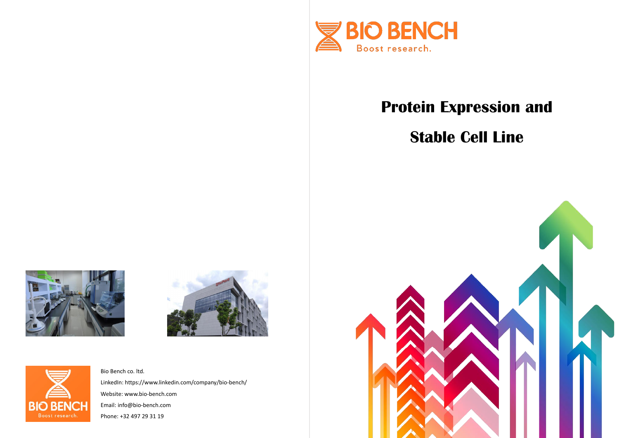

# **Protein Expression and Stable Cell Line**







Bio Bench co. ltd. LinkedIn: https://www.linkedin.com/company/bio-bench/ Website: www.bio-bench.com Email: info@bio-bench.com Phone: +32 497 29 31 19

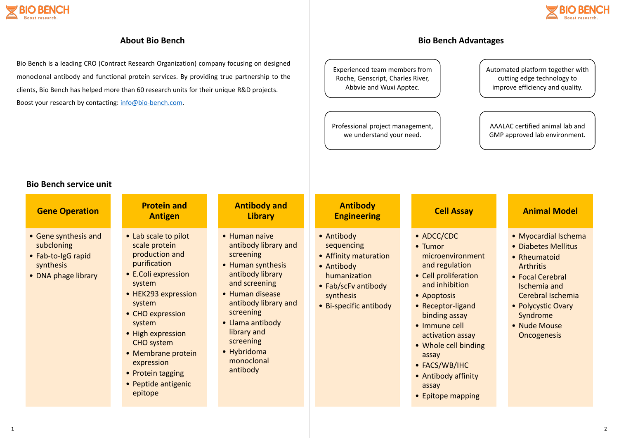

### **About Bio Bench**

Bio Bench is a leading CRO (Contract Research Organization) company focusing on designed monoclonal antibody and functional protein services. By providing true partnership to the clients, Bio Bench has helped more than 60 research units for their unique R&D projects. Boost your research by contacting: [info@bio-bench.com.](mailto:info@bio-bench.com)

- Myocardial Ischema
- Diabetes Mellitus
- Rheumatoid Arthritis
- Focal Cerebral Ischemia and Cerebral Ischemia
- Polycystic Ovary Syndrome
- Nude Mouse **Oncogenesis**

| <b>Gene Operation</b>                                                                        | <b>Protein and</b><br><b>Antigen</b>                                                                                                                                                                                                                                                                         | <b>Antibody and</b><br><b>Library</b>                                                                                                                                                                                                                         | <b>Antibody</b><br><b>Engineering</b>                                                                                                         | <b>Cell Assa</b>                                                                                                                                                                                                                                                                   |
|----------------------------------------------------------------------------------------------|--------------------------------------------------------------------------------------------------------------------------------------------------------------------------------------------------------------------------------------------------------------------------------------------------------------|---------------------------------------------------------------------------------------------------------------------------------------------------------------------------------------------------------------------------------------------------------------|-----------------------------------------------------------------------------------------------------------------------------------------------|------------------------------------------------------------------------------------------------------------------------------------------------------------------------------------------------------------------------------------------------------------------------------------|
| • Gene synthesis and<br>subcloning<br>• Fab-to-IgG rapid<br>synthesis<br>• DNA phage library | • Lab scale to pilot<br>scale protein<br>production and<br>purification<br>• E.Coli expression<br>system<br>• HEK293 expression<br>system<br>• CHO expression<br>system<br>• High expression<br><b>CHO</b> system<br>• Membrane protein<br>expression<br>• Protein tagging<br>• Peptide antigenic<br>epitope | • Human naive<br>antibody library and<br>screening<br>• Human synthesis<br>antibody library<br>and screening<br>• Human disease<br>antibody library and<br>screening<br>• Llama antibody<br>library and<br>screening<br>• Hybridoma<br>monoclonal<br>antibody | • Antibody<br>sequencing<br>• Affinity maturation<br>• Antibody<br>humanization<br>• Fab/scFv antibody<br>synthesis<br>• Bi-specific antibody | • ADCC/CDC<br>• Tumor<br>microenviron<br>and regulation<br>• Cell proliferat<br>and inhibition<br>• Apoptosis<br>• Receptor-ligar<br>binding assay<br>• Immune cell<br>activation ass<br>• Whole cell bir<br>assay<br>• FACS/WB/IHC<br>• Antibody affir<br>assay<br>• Epitope mapp |

### **Animal Model**

### **Bio Bench service unit**

### **Bio Bench Advantages**

Experienced team members from Roche, Genscript, Charles River, Abbvie and Wuxi Apptec.

### Automated platform together with cutting edge technology to improve efficiency and quality.

Professional project management, we understand your need.

AAALAC certified animal lab and GMP approved lab environment.

### **Say**

nment ion ation  $\mathsf{on}\,$ 

and

ssay binding

finity

pping

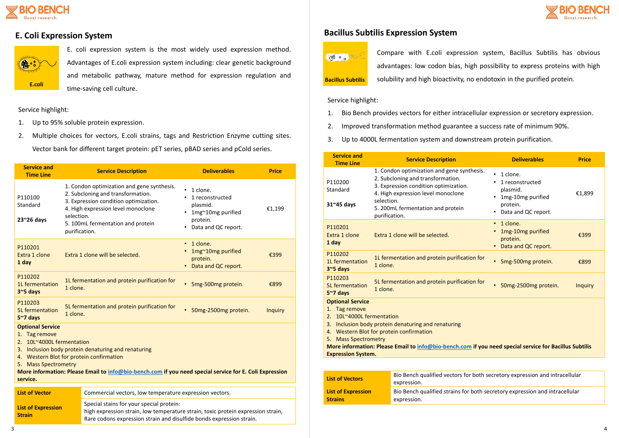

E. coli expression system is the most widely used expression method. Advantages of E.coli expression system including: clear genetic background and metabolic pathway, mature method for expression regulation and time-saving cell culture.

Compare with E.coli expression system, Bacillus Subtilis has obvious advantages: low codon bias, high possibility to express proteins with high solubility and high bioactivity, no endotoxin in the purified protein.







Service highlight:

- 1. Up to 95% soluble protein expression.
- 2. Multiple choices for vectors, E.coli strains, tags and Restriction Enzyme cutting sites. Vector bank for different target protein: pET series, pBAD series and pCold series.

| <b>Service and</b><br><b>Time Line</b>                                                                                                                                                                                                                                                                                  |                                                                                                                                                                                                      | <b>Service Description</b>                                                                                                                                                                          | <b>Deliverables</b>                                                                             | <b>Price</b>   |
|-------------------------------------------------------------------------------------------------------------------------------------------------------------------------------------------------------------------------------------------------------------------------------------------------------------------------|------------------------------------------------------------------------------------------------------------------------------------------------------------------------------------------------------|-----------------------------------------------------------------------------------------------------------------------------------------------------------------------------------------------------|-------------------------------------------------------------------------------------------------|----------------|
| P110100<br>Standard<br>$23^{\sim}26$ days                                                                                                                                                                                                                                                                               | selection.<br>purification.                                                                                                                                                                          | 1. Condon optimization and gene synthesis.<br>2. Subcloning and transformation.<br>3. Expression condition optimization.<br>4. High expression level monoclone<br>5. 100mL fermentation and protein | 1 clone.<br>1 reconstructed<br>plasmid.<br>1mg~10mg purified<br>protein.<br>Data and QC report. | €1,199         |
| P110201<br>Extra 1 clone<br>1 day                                                                                                                                                                                                                                                                                       |                                                                                                                                                                                                      | Extra 1 clone will be selected.                                                                                                                                                                     | 1 clone.<br>$\bullet$<br>1mg~10mg purified<br>protein.<br>Data and QC report.<br>$\bullet$      | €399           |
| P110202<br>1L fermentation<br>$35$ days                                                                                                                                                                                                                                                                                 | 1 clone.                                                                                                                                                                                             | 1L fermentation and protein purification for                                                                                                                                                        | $\bullet$<br>5mg-500mg protein.                                                                 | €899           |
| P110203<br><b>5L</b> fermentation<br>$5~7$ days                                                                                                                                                                                                                                                                         | 1 clone.                                                                                                                                                                                             | 5L fermentation and protein purification for                                                                                                                                                        | $\bullet$<br>50mg-2500mg protein.                                                               | <b>Inquiry</b> |
| <b>Optional Service</b><br>1. Tag remove<br>2. 10L~4000L fermentation<br>3. Inclusion body protein denaturing and renaturing<br>4. Western Blot for protein confirmation<br>5. Mass Spectrometry<br>More information: Please Email to info@bio-bench.com if you need special service for E. Coli Expression<br>service. |                                                                                                                                                                                                      |                                                                                                                                                                                                     |                                                                                                 |                |
| <b>List of Vector</b>                                                                                                                                                                                                                                                                                                   |                                                                                                                                                                                                      | Commercial vectors, low temperature expression vectors.                                                                                                                                             |                                                                                                 |                |
| <b>List of Expression</b><br><b>Strain</b>                                                                                                                                                                                                                                                                              | Special stains for your special protein:<br>high expression strain, low temperature strain, toxic protein expression strain,<br>Rare codons expression strain and disulfide bonds expression strain. |                                                                                                                                                                                                     |                                                                                                 |                |

## **E.** Coli Expression System **Bacillus** Subtilis Expression System

Service highlight:

- 1. Bio Bench provides vectors for either intracellular expression or secretory expression.
- 2. Improved transformation method guarantee a success rate of minimum 90%.
- 3. Up to 4000L fermentation system and downstream protein purification.

| <b>Service and</b><br><b>Time Line</b>                                                                                                                                                                                                                                                                                                  |                             | <b>Service Description</b>                                                                                                                                                                          |           | <b>Deliverables</b>                                                                               | <b>Price</b>   |
|-----------------------------------------------------------------------------------------------------------------------------------------------------------------------------------------------------------------------------------------------------------------------------------------------------------------------------------------|-----------------------------|-----------------------------------------------------------------------------------------------------------------------------------------------------------------------------------------------------|-----------|---------------------------------------------------------------------------------------------------|----------------|
| P110200<br>Standard<br>$31^{\circ}45$ days                                                                                                                                                                                                                                                                                              | selection.<br>purification. | 1. Condon optimization and gene synthesis.<br>2. Subcloning and transformation.<br>3. Expression condition optimization.<br>4. High expression level monoclone<br>5. 200mL fermentation and protein | $\bullet$ | 1 clone.<br>1 reconstructed<br>plasmid.<br>1mg-10mg purified<br>protein.<br>• Data and QC report. | €1,899         |
| P110201<br>Extra 1 clone<br>1 day                                                                                                                                                                                                                                                                                                       |                             | Extra 1 clone will be selected.                                                                                                                                                                     | $\bullet$ | 1 clone.<br>1mg-10mg purified<br>protein.<br>Data and QC report.                                  | €399           |
| P110202<br>1L fermentation<br>3~5 days                                                                                                                                                                                                                                                                                                  | 1 clone.                    | 1L fermentation and protein purification for                                                                                                                                                        | $\bullet$ | 5mg-500mg protein.                                                                                | €899           |
| P110203<br><b>5L</b> fermentation<br>$5~7$ days                                                                                                                                                                                                                                                                                         | 1 clone.                    | 5L fermentation and protein purification for                                                                                                                                                        |           | 50mg-2500mg protein.                                                                              | <b>Inquiry</b> |
| <b>Optional Service</b><br>1. Tag remove<br>2. 10L~4000L fermentation<br>3. Inclusion body protein denaturing and renaturing<br>4. Western Blot for protein confirmation<br>5. Mass Spectrometry<br>More information: Please Email to info@bio-bench.com if you need special service for Bacillus Subtilis<br><b>Expression System.</b> |                             |                                                                                                                                                                                                     |           |                                                                                                   |                |
|                                                                                                                                                                                                                                                                                                                                         |                             |                                                                                                                                                                                                     |           |                                                                                                   |                |
| <b>List of Vectors</b>                                                                                                                                                                                                                                                                                                                  |                             | Bio Bench qualified vectors for both secretory expression and intracellular<br>expression.                                                                                                          |           |                                                                                                   |                |
| <b>List of Expression</b>                                                                                                                                                                                                                                                                                                               |                             | Bio Bench qualified strains for both secretory expression and intracellular                                                                                                                         |           |                                                                                                   |                |

**Strains**

Bio Bench qualified strains for both secretory expression and intracellular

expression.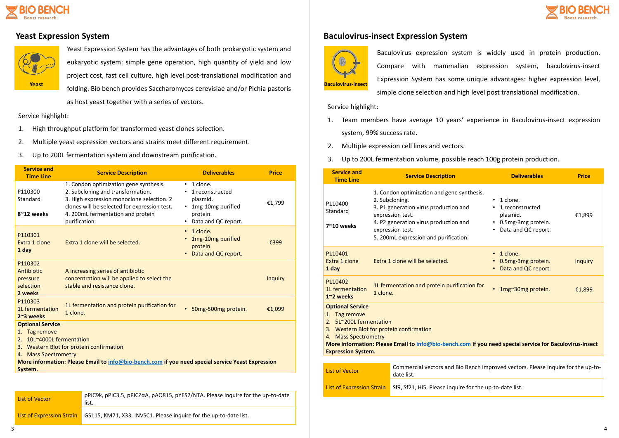





Yeast Expression System has the advantages of both prokaryotic system and eukaryotic system: simple gene operation, high quantity of yield and low project cost, fast cell culture, high level post-translational modification and **Yeast Baculovirus-insect Baculovirus-insect Baculovirus-insect Baculovirus-insect** as host yeast together with a series of vectors.

Baculovirus expression system is widely used in protein production. Compare with mammalian expression system, baculovirus-insect Expression System has some unique advantages: higher expression level, simple clone selection and high level post translational modification.

Service highlight:

- 1. High throughput platform for transformed yeast clones selection.
- 2. Multiple yeast expression vectors and strains meet different requirement.
- 3. Up to 200L fermentation system and downstream purification.

Service highlight:

- 1. Team members have average 10 years' experience in Baculovirus-insect expression system, 99% success rate.
- 2. Multiple expression cell lines and vectors.
- 3. Up to 200L fermentation volume, possible reach 100g protein production.

| <b>Service and</b><br><b>Time Line</b>                                                                                                                                                                                                                       | <b>Service Description</b>                                                                                                                                                                                                     | <b>Deliverables</b>                                                                                                       | <b>Price</b>   |  |
|--------------------------------------------------------------------------------------------------------------------------------------------------------------------------------------------------------------------------------------------------------------|--------------------------------------------------------------------------------------------------------------------------------------------------------------------------------------------------------------------------------|---------------------------------------------------------------------------------------------------------------------------|----------------|--|
| P110300<br>Standard<br>8~12 weeks                                                                                                                                                                                                                            | 1. Condon optimization gene synthesis.<br>2. Subcloning and transformation.<br>3. High expression monoclone selection. 2<br>clones will be selected for expression test.<br>4. 200mL fermentation and protein<br>purification. | 1 clone.<br>$\bullet$<br>1 reconstructed<br>plasmid.<br>1mg-10mg purified<br>$\bullet$<br>protein.<br>Data and QC report. | €1,799         |  |
| P110301<br>Extra 1 clone<br>1 day                                                                                                                                                                                                                            | Extra 1 clone will be selected.                                                                                                                                                                                                | 1 clone.<br>$\bullet$<br>1mg-10mg purified<br>protein.<br>Data and QC report.<br>$\bullet$                                | €399           |  |
| P110302<br>Antibiotic<br>pressure<br>selection<br>2 weeks                                                                                                                                                                                                    | A increasing series of antibiotic<br>concentration will be applied to select the<br>stable and resistance clone.                                                                                                               |                                                                                                                           | <b>Inquiry</b> |  |
| P110303<br>1L fermentation<br>2~3 weeks                                                                                                                                                                                                                      | 1L fermentation and protein purification for<br>1 clone.                                                                                                                                                                       | 50mg-500mg protein.<br>$\bullet$                                                                                          | €1,099         |  |
| <b>Optional Service</b><br>1. Tag remove<br>10L~4000L fermentation<br>2.<br>3. Western Blot for protein confirmation<br>4. Mass Spectrometry<br>More information: Please Email to info@bio-bench.com if you need special service Yeast Expression<br>System. |                                                                                                                                                                                                                                |                                                                                                                           |                |  |
|                                                                                                                                                                                                                                                              |                                                                                                                                                                                                                                |                                                                                                                           |                |  |

| List of Vector                   | pPIC9k, pPIC3.5, pPICZ $\alpha$ A, pAO815, pYES2/NTA. Please inquire for the up-to-date<br>list. |
|----------------------------------|--------------------------------------------------------------------------------------------------|
| <b>List of Expression Strain</b> | GS115, KM71, X33, INVSC1. Please inquire for the up-to-date list.                                |

### **Pastage Expression System Baculovirus-insect Expression System**



| <b>Service and</b><br><b>Time Line</b>                                                                                                                                                                                                                                          |          | <b>Service Description</b>                                                                                                                                                                                                      | <b>Deliverables</b>                                                                                              | <b>Price</b>   |
|---------------------------------------------------------------------------------------------------------------------------------------------------------------------------------------------------------------------------------------------------------------------------------|----------|---------------------------------------------------------------------------------------------------------------------------------------------------------------------------------------------------------------------------------|------------------------------------------------------------------------------------------------------------------|----------------|
| P110400<br>Standard<br>7~10 weeks                                                                                                                                                                                                                                               |          | 1. Condon optimization and gene synthesis.<br>2. Subcloning.<br>3. P1 generation virus production and<br>expression test.<br>4. P2 generation virus production and<br>expression test.<br>5. 200mL expression and purification. | 1 clone.<br>$\bullet$<br>1 reconstructed<br>plasmid.<br>• 0.5mg-3mg protein.<br>Data and QC report.<br>$\bullet$ | €1,899         |
| P110401<br>Extra 1 clone<br>1 day                                                                                                                                                                                                                                               |          | Extra 1 clone will be selected.                                                                                                                                                                                                 | 1 clone.<br>$\bullet$<br>0.5mg-3mg protein.<br>Data and QC report.                                               | <b>Inquiry</b> |
| P110402<br>1L fermentation<br>1~2 weeks                                                                                                                                                                                                                                         | 1 clone. | 1L fermentation and protein purification for                                                                                                                                                                                    | 1mg~30mg protein.<br>$\bullet$                                                                                   | €1,899         |
| <b>Optional Service</b><br>1. Tag remove<br>2. 5L~200L fermentation<br>3. Western Blot for protein confirmation<br>4. Mass Spectrometry<br>More information: Please Email to info@bio-bench.com if you need special service for Baculovirus-insect<br><b>Expression System.</b> |          |                                                                                                                                                                                                                                 |                                                                                                                  |                |
|                                                                                                                                                                                                                                                                                 |          |                                                                                                                                                                                                                                 |                                                                                                                  |                |
| <b>List of Vector</b>                                                                                                                                                                                                                                                           |          | Commercial vectors and Bio Bench improved vectors. Please inquire for the up-to-<br>date list.                                                                                                                                  |                                                                                                                  |                |
| <b>List of Expression Strain</b>                                                                                                                                                                                                                                                |          | Sf9, Sf21, Hi5. Please inquire for the up-to-date list.                                                                                                                                                                         |                                                                                                                  |                |